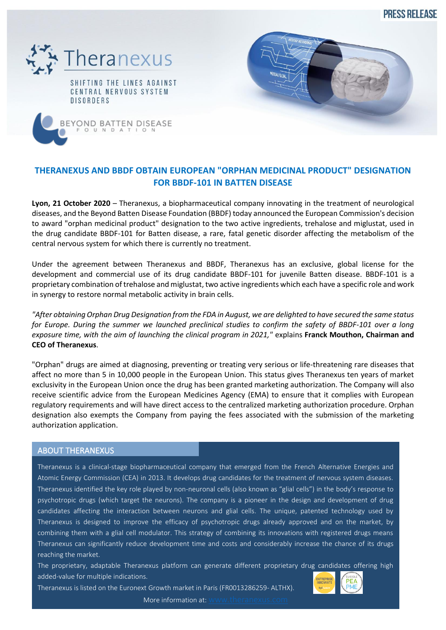**PRESS RELEASE** 



UNDA

 $\circ$ 



## **THERANEXUS AND BBDF OBTAIN EUROPEAN "ORPHAN MEDICINAL PRODUCT" DESIGNATION FOR BBDF-101 IN BATTEN DISEASE**

**Lyon, 21 October 2020** – Theranexus, a biopharmaceutical company innovating in the treatment of neurological diseases, and the Beyond Batten Disease Foundation (BBDF) today announced the European Commission's decision to award "orphan medicinal product" designation to the two active ingredients, trehalose and miglustat, used in the drug candidate BBDF-101 for Batten disease, a rare, fatal genetic disorder affecting the metabolism of the central nervous system for which there is currently no treatment.

Under the agreement between Theranexus and BBDF, Theranexus has an exclusive, global license for the development and commercial use of its drug candidate BBDF-101 for juvenile Batten disease. BBDF-101 is a proprietary combination of trehalose and miglustat, two active ingredients which each have a specific role and work in synergy to restore normal metabolic activity in brain cells.

*"After obtaining Orphan Drug Designation from the FDA in August, we are delighted to have secured the same status for Europe. During the summer we launched preclinical studies to confirm the safety of BBDF-101 over a long exposure time, with the aim of launching the clinical program in 2021,"* explains **Franck Mouthon, Chairman and CEO of Theranexus**.

"Orphan" drugs are aimed at diagnosing, preventing or treating very serious or life-threatening rare diseases that affect no more than 5 in 10,000 people in the European Union. This status gives Theranexus ten years of market exclusivity in the European Union once the drug has been granted marketing authorization. The Company will also receive scientific advice from the European Medicines Agency (EMA) to ensure that it complies with European regulatory requirements and will have direct access to the centralized marketing authorization procedure. Orphan designation also exempts the Company from paying the fees associated with the submission of the marketing authorization application.

## ABOUT THERANEXUS

Theranexus is a clinical-stage biopharmaceutical company that emerged from the French Alternative Energies and Atomic Energy Commission (CEA) in 2013. It develops drug candidates for the treatment of nervous system diseases. Theranexus identified the key role played by non-neuronal cells (also known as "glial cells") in the body's response to psychotropic drugs (which target the neurons). The company is a pioneer in the design and development of drug candidates affecting the interaction between neurons and glial cells. The unique, patented technology used by Theranexus is designed to improve the efficacy of psychotropic drugs already approved and on the market, by combining them with a glial cell modulator. This strategy of combining its innovations with registered drugs means Theranexus can significantly reduce development time and costs and considerably increase the chance of its drugs reaching the market.

The proprietary, adaptable Theranexus platform can generate different proprietary drug candidates offering high added-value for multiple indications.

Theranexus is listed on the Euronext Growth market in Paris (FR0013286259- ALTHX).



More information at: